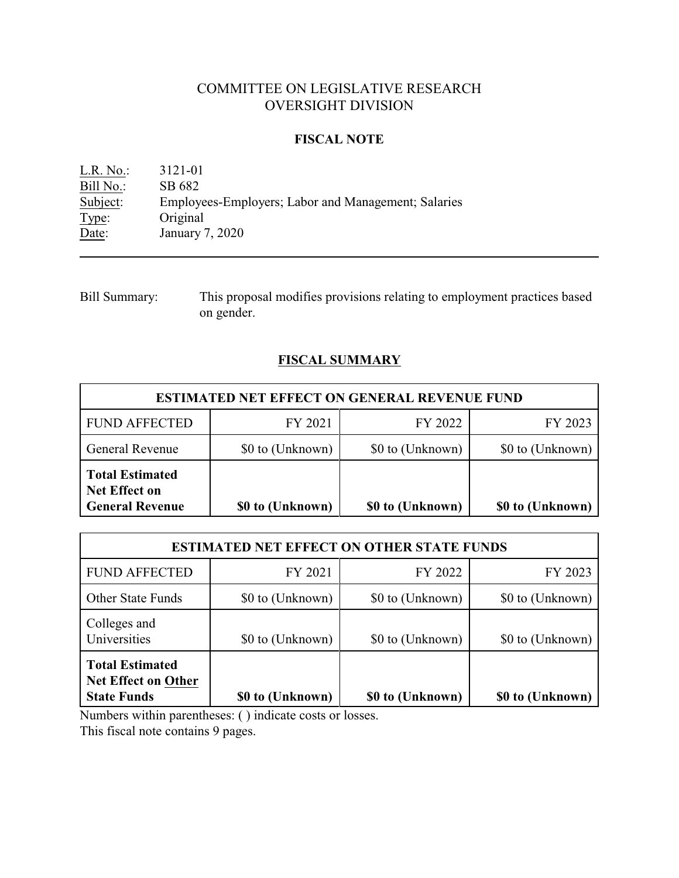## COMMITTEE ON LEGISLATIVE RESEARCH OVERSIGHT DIVISION

## **FISCAL NOTE**

L.R. No.: 3121-01 Bill No.: SB 682<br>Subject: Employees Employees-Employers; Labor and Management; Salaries Type: Original Date: January 7, 2020

Bill Summary: This proposal modifies provisions relating to employment practices based on gender.

# **FISCAL SUMMARY**

| <b>ESTIMATED NET EFFECT ON GENERAL REVENUE FUND</b>                      |                  |                  |                  |  |  |
|--------------------------------------------------------------------------|------------------|------------------|------------------|--|--|
| <b>FUND AFFECTED</b>                                                     | FY 2021          | FY 2022          | FY 2023          |  |  |
| <b>General Revenue</b>                                                   | \$0 to (Unknown) | \$0 to (Unknown) | \$0 to (Unknown) |  |  |
| <b>Total Estimated</b><br><b>Net Effect on</b><br><b>General Revenue</b> | \$0 to (Unknown) | \$0 to (Unknown) | \$0 to (Unknown) |  |  |

| <b>ESTIMATED NET EFFECT ON OTHER STATE FUNDS</b>                           |                  |                  |                  |  |  |
|----------------------------------------------------------------------------|------------------|------------------|------------------|--|--|
| <b>FUND AFFECTED</b>                                                       | FY 2021          | FY 2022          | FY 2023          |  |  |
| <b>Other State Funds</b>                                                   | \$0 to (Unknown) | \$0 to (Unknown) | \$0 to (Unknown) |  |  |
| Colleges and<br>Universities                                               | \$0 to (Unknown) | \$0 to (Unknown) | \$0 to (Unknown) |  |  |
| <b>Total Estimated</b><br><b>Net Effect on Other</b><br><b>State Funds</b> | \$0 to (Unknown) | \$0 to (Unknown) | \$0 to (Unknown) |  |  |

Numbers within parentheses: ( ) indicate costs or losses.

This fiscal note contains 9 pages.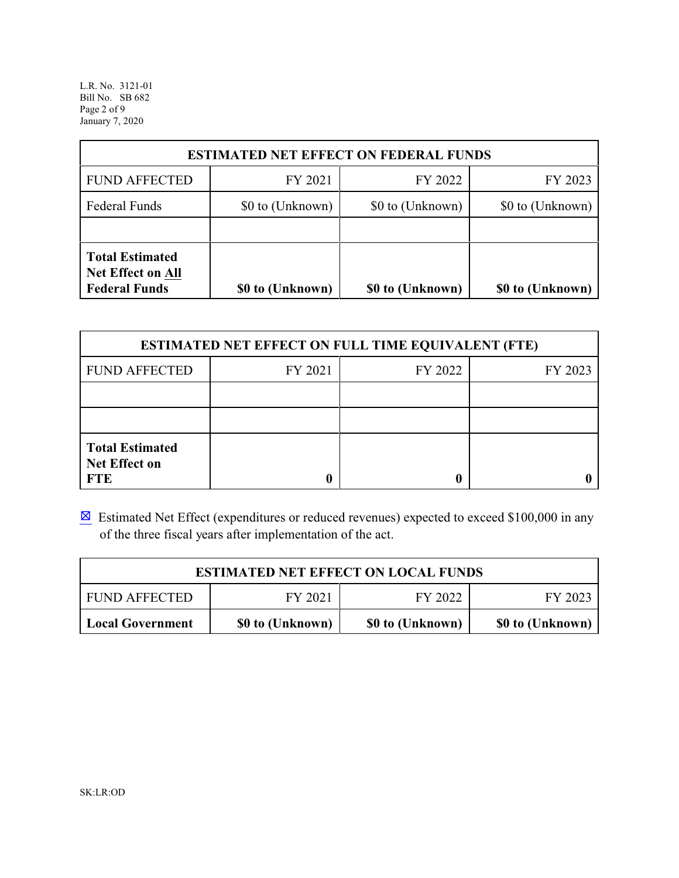L.R. No. 3121-01 Bill No. SB 682 Page 2 of 9 January 7, 2020

| <b>ESTIMATED NET EFFECT ON FEDERAL FUNDS</b>                               |                                      |                  |                  |  |  |
|----------------------------------------------------------------------------|--------------------------------------|------------------|------------------|--|--|
| <b>FUND AFFECTED</b>                                                       | FY 2021                              | FY 2022          | FY 2023          |  |  |
| <b>Federal Funds</b>                                                       | \$0 to (Unknown)<br>\$0 to (Unknown) |                  | \$0 to (Unknown) |  |  |
|                                                                            |                                      |                  |                  |  |  |
| <b>Total Estimated</b><br><b>Net Effect on All</b><br><b>Federal Funds</b> | \$0 to (Unknown)                     | \$0 to (Unknown) | \$0 to (Unknown) |  |  |

| <b>ESTIMATED NET EFFECT ON FULL TIME EQUIVALENT (FTE)</b>    |         |         |         |  |  |
|--------------------------------------------------------------|---------|---------|---------|--|--|
| <b>FUND AFFECTED</b>                                         | FY 2021 | FY 2022 | FY 2023 |  |  |
|                                                              |         |         |         |  |  |
|                                                              |         |         |         |  |  |
| <b>Total Estimated</b><br><b>Net Effect on</b><br><b>FTE</b> |         |         |         |  |  |

 $\boxtimes$  Estimated Net Effect (expenditures or reduced revenues) expected to exceed \$100,000 in any of the three fiscal years after implementation of the act.

| <b>ESTIMATED NET EFFECT ON LOCAL FUNDS</b>                                   |  |  |  |  |  |
|------------------------------------------------------------------------------|--|--|--|--|--|
| FY 2022<br>FY 2021<br><b>FUND AFFECTED</b><br>FY 2023                        |  |  |  |  |  |
| \$0 to (Unknown)<br>\$0 to (Unknown)<br>\$0 to (Unknown)<br>Local Government |  |  |  |  |  |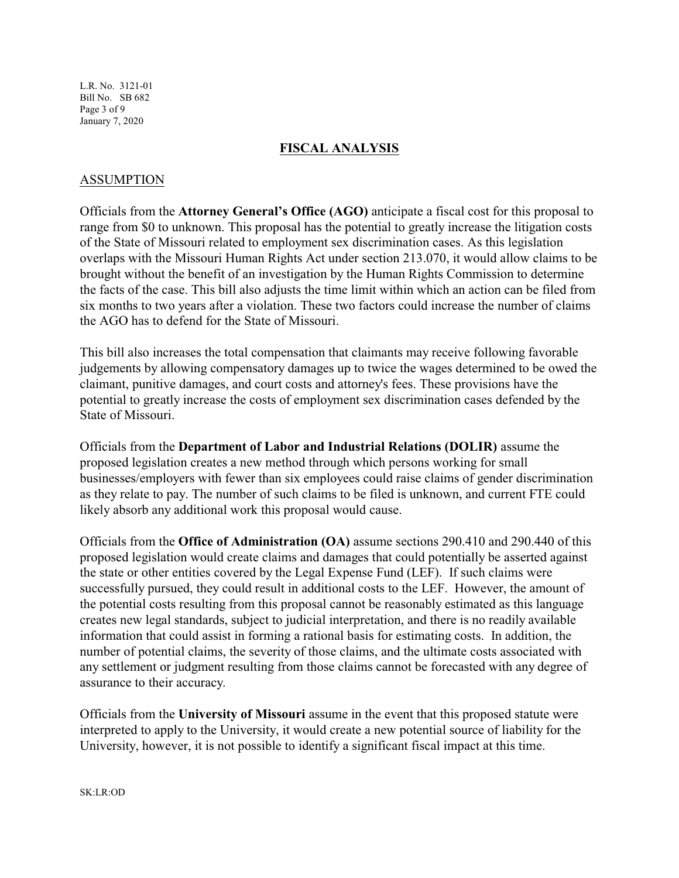L.R. No. 3121-01 Bill No. SB 682 Page 3 of 9 January 7, 2020

### **FISCAL ANALYSIS**

### ASSUMPTION

Officials from the **Attorney General's Office (AGO)** anticipate a fiscal cost for this proposal to range from \$0 to unknown. This proposal has the potential to greatly increase the litigation costs of the State of Missouri related to employment sex discrimination cases. As this legislation overlaps with the Missouri Human Rights Act under section 213.070, it would allow claims to be brought without the benefit of an investigation by the Human Rights Commission to determine the facts of the case. This bill also adjusts the time limit within which an action can be filed from six months to two years after a violation. These two factors could increase the number of claims the AGO has to defend for the State of Missouri.

This bill also increases the total compensation that claimants may receive following favorable judgements by allowing compensatory damages up to twice the wages determined to be owed the claimant, punitive damages, and court costs and attorney's fees. These provisions have the potential to greatly increase the costs of employment sex discrimination cases defended by the State of Missouri.

Officials from the **Department of Labor and Industrial Relations (DOLIR)** assume the proposed legislation creates a new method through which persons working for small businesses/employers with fewer than six employees could raise claims of gender discrimination as they relate to pay. The number of such claims to be filed is unknown, and current FTE could likely absorb any additional work this proposal would cause.

Officials from the **Office of Administration (OA)** assume sections 290.410 and 290.440 of this proposed legislation would create claims and damages that could potentially be asserted against the state or other entities covered by the Legal Expense Fund (LEF). If such claims were successfully pursued, they could result in additional costs to the LEF. However, the amount of the potential costs resulting from this proposal cannot be reasonably estimated as this language creates new legal standards, subject to judicial interpretation, and there is no readily available information that could assist in forming a rational basis for estimating costs. In addition, the number of potential claims, the severity of those claims, and the ultimate costs associated with any settlement or judgment resulting from those claims cannot be forecasted with any degree of assurance to their accuracy.

Officials from the **University of Missouri** assume in the event that this proposed statute were interpreted to apply to the University, it would create a new potential source of liability for the University, however, it is not possible to identify a significant fiscal impact at this time.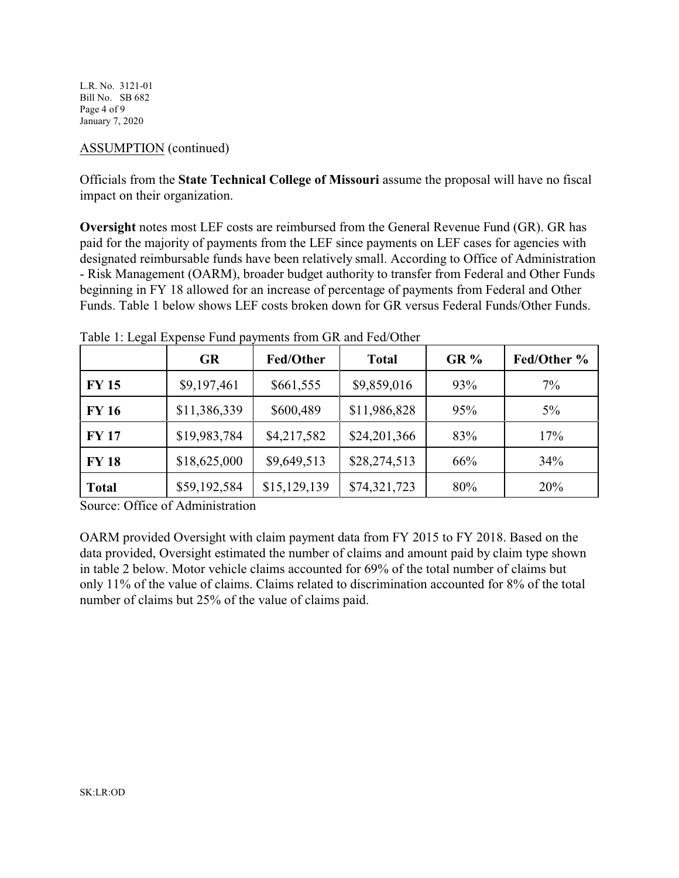L.R. No. 3121-01 Bill No. SB 682 Page 4 of 9 January 7, 2020

## ASSUMPTION (continued)

Officials from the **State Technical College of Missouri** assume the proposal will have no fiscal impact on their organization.

**Oversight** notes most LEF costs are reimbursed from the General Revenue Fund (GR). GR has paid for the majority of payments from the LEF since payments on LEF cases for agencies with designated reimbursable funds have been relatively small. According to Office of Administration - Risk Management (OARM), broader budget authority to transfer from Federal and Other Funds beginning in FY 18 allowed for an increase of percentage of payments from Federal and Other Funds. Table 1 below shows LEF costs broken down for GR versus Federal Funds/Other Funds.

|              | <b>GR</b>    | Fed/Other    | <b>Total</b> | $GR\%$ | Fed/Other % |
|--------------|--------------|--------------|--------------|--------|-------------|
| <b>FY 15</b> | \$9,197,461  | \$661,555    | \$9,859,016  | 93%    | 7%          |
| <b>FY 16</b> | \$11,386,339 | \$600,489    | \$11,986,828 | 95%    | $5\%$       |
| <b>FY17</b>  | \$19,983,784 | \$4,217,582  | \$24,201,366 | 83%    | 17%         |
| <b>FY 18</b> | \$18,625,000 | \$9,649,513  | \$28,274,513 | 66%    | 34%         |
| <b>Total</b> | \$59,192,584 | \$15,129,139 | \$74,321,723 | 80%    | 20%         |

Table 1: Legal Expense Fund payments from GR and Fed/Other

Source: Office of Administration

OARM provided Oversight with claim payment data from FY 2015 to FY 2018. Based on the data provided, Oversight estimated the number of claims and amount paid by claim type shown in table 2 below. Motor vehicle claims accounted for 69% of the total number of claims but only 11% of the value of claims. Claims related to discrimination accounted for 8% of the total number of claims but 25% of the value of claims paid.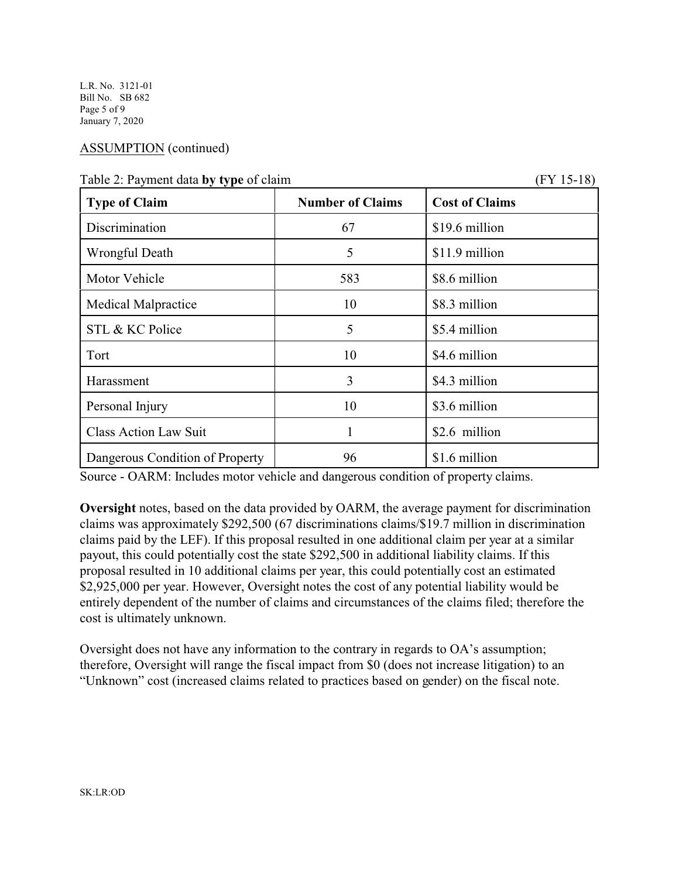L.R. No. 3121-01 Bill No. SB 682 Page 5 of 9 January 7, 2020

## ASSUMPTION (continued)

 $(FY 15-18)$ 

| <b>Type of Claim</b>            | <b>Number of Claims</b> | <b>Cost of Claims</b> |
|---------------------------------|-------------------------|-----------------------|
| Discrimination                  | 67                      | \$19.6 million        |
| Wrongful Death                  | 5                       | \$11.9 million        |
| Motor Vehicle                   | 583                     | \$8.6 million         |
| <b>Medical Malpractice</b>      | 10                      | \$8.3 million         |
| STL & KC Police                 | 5                       | \$5.4 million         |
| Tort                            | 10                      | \$4.6 million         |
| Harassment                      | 3                       | \$4.3 million         |
| Personal Injury                 | 10                      | \$3.6 million         |
| <b>Class Action Law Suit</b>    |                         | \$2.6 million         |
| Dangerous Condition of Property | 96                      | \$1.6 million         |

Source - OARM: Includes motor vehicle and dangerous condition of property claims.

**Oversight** notes, based on the data provided by OARM, the average payment for discrimination claims was approximately \$292,500 (67 discriminations claims/\$19.7 million in discrimination claims paid by the LEF). If this proposal resulted in one additional claim per year at a similar payout, this could potentially cost the state \$292,500 in additional liability claims. If this proposal resulted in 10 additional claims per year, this could potentially cost an estimated \$2,925,000 per year. However, Oversight notes the cost of any potential liability would be entirely dependent of the number of claims and circumstances of the claims filed; therefore the cost is ultimately unknown.

Oversight does not have any information to the contrary in regards to OA's assumption; therefore, Oversight will range the fiscal impact from \$0 (does not increase litigation) to an "Unknown" cost (increased claims related to practices based on gender) on the fiscal note.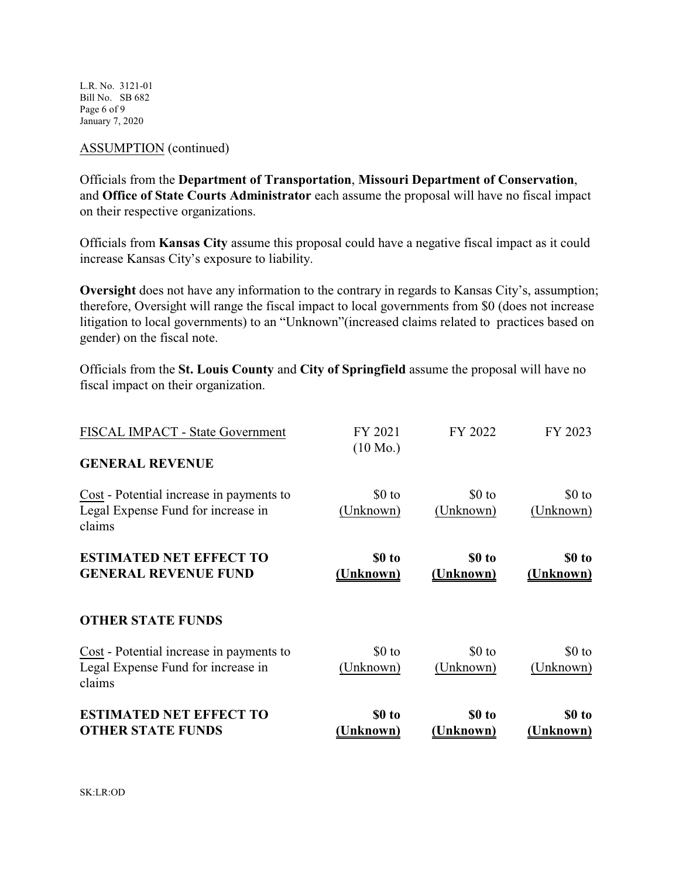L.R. No. 3121-01 Bill No. SB 682 Page 6 of 9 January 7, 2020

#### ASSUMPTION (continued)

Officials from the **Department of Transportation**, **Missouri Department of Conservation**, and **Office of State Courts Administrator** each assume the proposal will have no fiscal impact on their respective organizations.

Officials from **Kansas City** assume this proposal could have a negative fiscal impact as it could increase Kansas City's exposure to liability.

**Oversight** does not have any information to the contrary in regards to Kansas City's, assumption; therefore, Oversight will range the fiscal impact to local governments from \$0 (does not increase litigation to local governments) to an "Unknown"(increased claims related to practices based on gender) on the fiscal note.

Officials from the **St. Louis County** and **City of Springfield** assume the proposal will have no fiscal impact on their organization.

| <b>ESTIMATED NET EFFECT TO</b><br><b>OTHER STATE FUNDS</b>                               | \$0 to<br>Unknown)            | \$0 to<br>Unknown)   | \$0 to<br><u>Unknown)</u> |
|------------------------------------------------------------------------------------------|-------------------------------|----------------------|---------------------------|
| Cost - Potential increase in payments to<br>Legal Expense Fund for increase in<br>claims | \$0 to<br>(Unknown)           | $$0$ to<br>(Unknown) | \$0 to<br>(Unknown)       |
| <b>OTHER STATE FUNDS</b>                                                                 |                               |                      |                           |
| <b>ESTIMATED NET EFFECT TO</b><br><b>GENERAL REVENUE FUND</b>                            | \$0 to<br>(Unknown)           | \$0 to<br>(Unknown)  | \$0 to<br>(Unknown)       |
| Cost - Potential increase in payments to<br>Legal Expense Fund for increase in<br>claims | \$0 to<br>(Unknown)           | $$0$ to<br>(Unknown) | \$0 to<br>(Unknown)       |
| <b>GENERAL REVENUE</b>                                                                   |                               |                      |                           |
| FISCAL IMPACT - State Government                                                         | FY 2021<br>$(10 \text{ Mo.})$ | FY 2022              | FY 2023                   |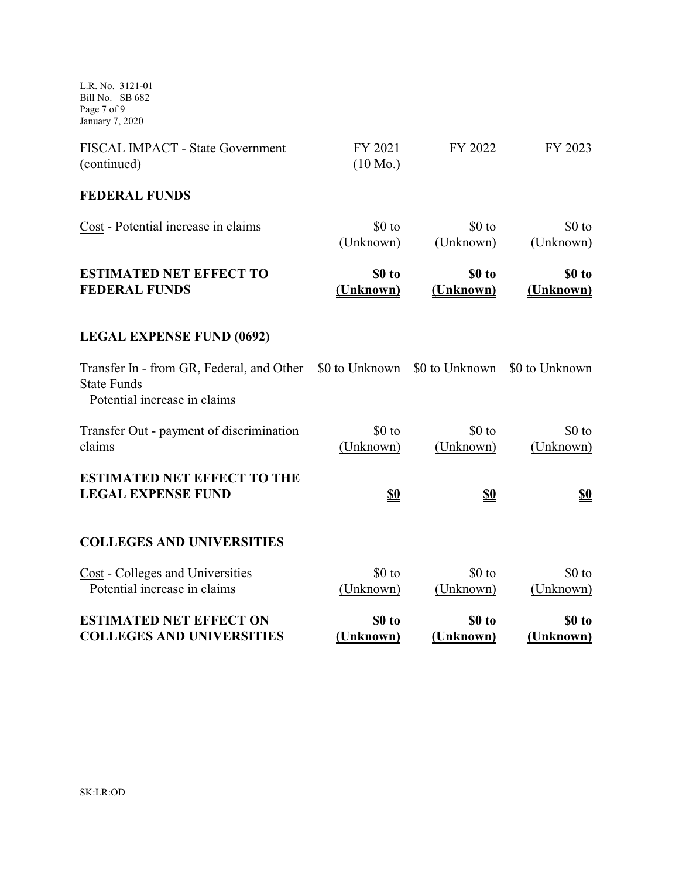L.R. No. 3121-01 Bill No. SB 682 Page 7 of 9 January 7, 2020

| FISCAL IMPACT - State Government<br>(continued)                                                 | FY 2021<br>$(10 \text{ Mo.})$ | FY 2022             | FY 2023              |
|-------------------------------------------------------------------------------------------------|-------------------------------|---------------------|----------------------|
| <b>FEDERAL FUNDS</b>                                                                            |                               |                     |                      |
| Cost - Potential increase in claims                                                             | \$0 to<br>(Unknown)           | \$0 to<br>(Unknown) | \$0 to<br>(Unknown)  |
| <b>ESTIMATED NET EFFECT TO</b><br><b>FEDERAL FUNDS</b>                                          | \$0 to<br>(Unknown)           | \$0 to<br>(Unknown) | \$0 to<br>(Unknown)  |
| <b>LEGAL EXPENSE FUND (0692)</b>                                                                |                               |                     |                      |
| Transfer In - from GR, Federal, and Other<br><b>State Funds</b><br>Potential increase in claims | \$0 to Unknown                | \$0 to Unknown      | \$0 to Unknown       |
| Transfer Out - payment of discrimination<br>claims                                              | \$0 to<br>(Unknown)           | \$0 to<br>(Unknown) | $$0$ to<br>(Unknown) |
| <b>ESTIMATED NET EFFECT TO THE</b><br><b>LEGAL EXPENSE FUND</b>                                 | <u>\$0</u>                    | <u>\$0</u>          | <u>\$0</u>           |
| <b>COLLEGES AND UNIVERSITIES</b>                                                                |                               |                     |                      |
| Cost - Colleges and Universities<br>Potential increase in claims                                | \$0 to<br>(Unknown)           | \$0 to<br>(Unknown) | $$0$ to<br>(Unknown) |
| <b>ESTIMATED NET EFFECT ON</b><br><b>COLLEGES AND UNIVERSITIES</b>                              | \$0 to<br>(Unknown)           | \$0 to<br>(Unknown) | \$0 to<br>(Unknown)  |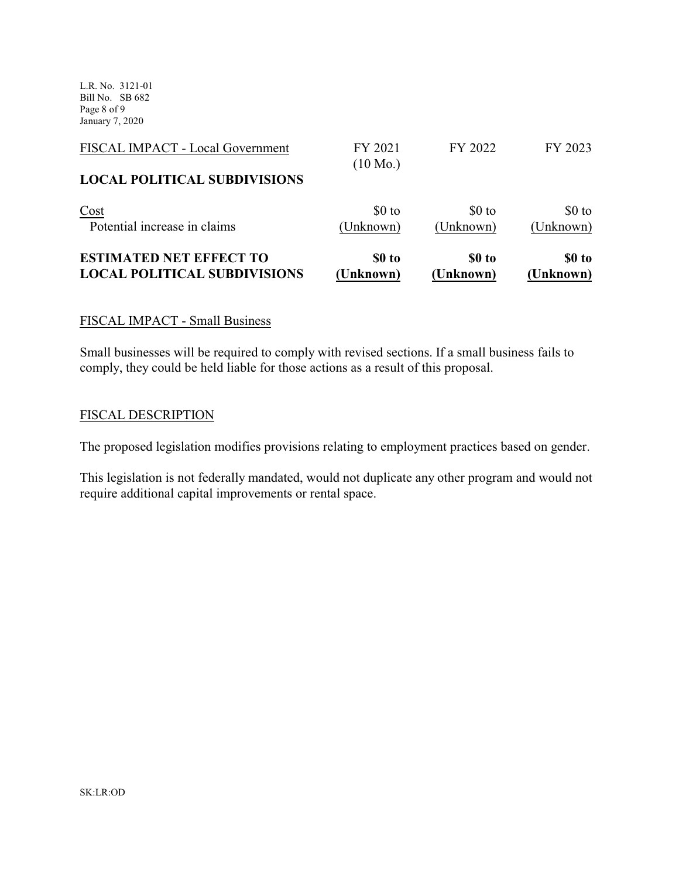L.R. No. 3121-01 Bill No. SB 682 Page 8 of 9 January 7, 2020

| <b>ESTIMATED NET EFFECT TO</b>      | \$0 to                        | \$0 to           | \$0 to    |
|-------------------------------------|-------------------------------|------------------|-----------|
| <b>LOCAL POLITICAL SUBDIVISIONS</b> | (Unknown)                     | <b>(Unknown)</b> | (Unknown) |
| Cost                                | $$0$ to                       | $$0$ to          | \$0 to    |
| Potential increase in claims        | (Unknown)                     | (Unknown)        | (Unknown) |
| <b>LOCAL POLITICAL SUBDIVISIONS</b> |                               |                  |           |
| FISCAL IMPACT - Local Government    | FY 2021<br>$(10 \text{ Mo.})$ | FY 2022          | FY 2023   |

## FISCAL IMPACT - Small Business

Small businesses will be required to comply with revised sections. If a small business fails to comply, they could be held liable for those actions as a result of this proposal.

### FISCAL DESCRIPTION

The proposed legislation modifies provisions relating to employment practices based on gender.

This legislation is not federally mandated, would not duplicate any other program and would not require additional capital improvements or rental space.